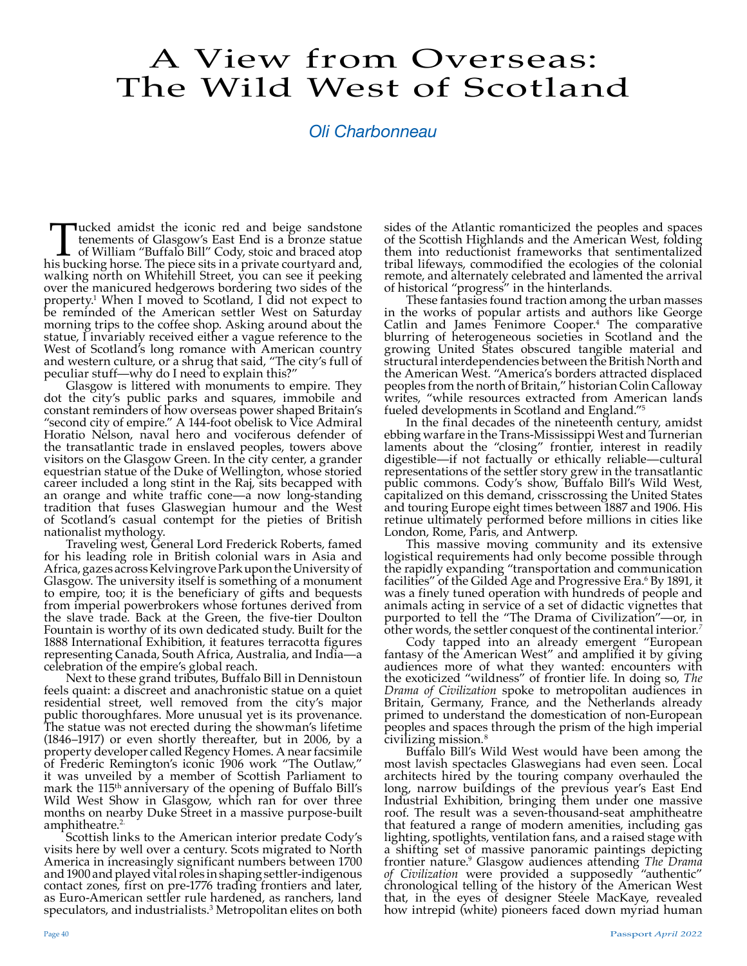## A View from Overseas: The Wild West of Scotland

## *Oli Charbonneau*

Tucked amidst the iconic red and beige sandstone<br>tenements of Glasgow's East End is a bronze statue<br>of William "Buffalo Bill" Cody, stoic and braced atop<br>is bucking horse. The piece sits in a private courtyard and, tenements of Glasgow's East End is a bronze statue of William "Buffalo Bill" Cody, stoic and braced atop his bucking horse. The piece sits in a private courtyard and, walking north on Whitehill Street, you can see it peeking over the manicured hedgerows bordering two sides of the property.1 When I moved to Scotland, I did not expect to be reminded of the American settler West on Saturday morning trips to the coffee shop. Asking around about the statue, I invariably received either a vague reference to the West of Scotland's long romance with American country and western culture, or a shrug that said, "The city's full of peculiar stuff—why do I need to explain this?"

Glasgow is littered with monuments to empire. They dot the city's public parks and squares, immobile and constant reminders of how overseas power shaped Britain's "second city of empire." A 144-foot obelisk to Vice Admiral Horatio Nelson, naval hero and vociferous defender of the transatlantic trade in enslaved peoples, towers above visitors on the Glasgow Green. In the city center, a grander equestrian statue of the Duke of Wellington, whose storied career included a long stint in the Raj, sits becapped with an orange and white traffic cone—a now long-standing tradition that fuses Glaswegian humour and the West of Scotland's casual contempt for the pieties of British nationalist mythology.

Traveling west, General Lord Frederick Roberts, famed for his leading role in British colonial wars in Asia and Africa, gazes across Kelvingrove Park upon the University of Glasgow. The university itself is something of a monument to empire, too; it is the beneficiary of gifts and bequests from imperial powerbrokers whose fortunes derived from the slave trade. Back at the Green, the five-tier Doulton Fountain is worthy of its own dedicated study. Built for the 1888 International Exhibition, it features terracotta figures representing Canada, South Africa, Australia, and India—a celebration of the empire's global reach.

Next to these grand tributes, Buffalo Bill in Dennistoun feels quaint: a discreet and anachronistic statue on a quiet residential street, well removed from the city's major public thoroughfares. More unusual yet is its provenance. The statue was not erected during the showman's lifetime (1846–1917) or even shortly thereafter, but in 2006, by a property developer called Regency Homes. A near facsimile of Frederic Remington's iconic 1906 work "The Outlaw," it was unveiled by a member of Scottish Parliament to mark the 115th anniversary of the opening of Buffalo Bill's Wild West Show in Glasgow, which ran for over three months on nearby Duke Street in a massive purpose-built amphitheatre.<sup>2.</sup>

Scottish links to the American interior predate Cody's visits here by well over a century. Scots migrated to North America in increasingly significant numbers between 1700 and 1900 and played vital roles in shaping settler-indigenous contact zones, first on pre-1776 trading frontiers and later, as Euro-American settler rule hardened, as ranchers, land speculators, and industrialists. $^3$  Metropolitan elites on both  $\,$  sides of the Atlantic romanticized the peoples and spaces of the Scottish Highlands and the American West, folding them into reductionist frameworks that sentimentalized tribal lifeways, commodified the ecologies of the colonial remote, and alternately celebrated and lamented the arrival of historical "progress" in the hinterlands.

These fantasies found traction among the urban masses in the works of popular artists and authors like George Catlin and James Fenimore Cooper.4 The comparative blurring of heterogeneous societies in Scotland and the growing United States obscured tangible material and structural interdependencies between the British North and the American West. "America's borders attracted displaced peoples from the north of Britain," historian Colin Calloway writes, "while resources extracted from American lands fueled developments in Scotland and England."<sup>5</sup><br>In the final decades of the nineteenth century, amidst

ebbing warfare in the Trans-Mississippi West and Turnerian laments about the "closing" frontier, interest in readily digestible—if not factually or ethically reliable—cultural representations of the settler story grew in the transatlantic public commons. Cody's show, Buffalo Bill's Wild West, capitalized on this demand, crisscrossing the United States and touring Europe eight times between 1887 and 1906. His retinue ultimately performed before millions in cities like London, Rome, Paris, and Antwerp.

This massive moving community and its extensive logistical requirements had only become possible through the rapidly expanding "transportation and communication facilities" of the Gilded Age and Progressive Era.<sup>6</sup> By 1891, it was a finely tuned operation with hundreds of people and animals acting in service of a set of didactic vignettes that purported to tell the "The Drama of Civilization"—or, in other words, the settler conquest of the continental interior*. 7*

Cody tapped into an already emergent "European fantasy of the American West" and amplified it by giving audiences more of what they wanted: encounters with the exoticized "wildness" of frontier life. In doing so, *The Drama of Civilization* spoke to metropolitan audiences in Britain, Germany, France, and the Netherlands already primed to understand the domestication of non-European peoples and spaces through the prism of the high imperial civilizing mission*.* 8

Buffalo Bill's Wild West would have been among the most lavish spectacles Glaswegians had even seen. Local architects hired by the touring company overhauled the long, narrow buildings of the previous year's East End Industrial Exhibition, bringing them under one massive roof. The result was a seven-thousand-seat amphitheatre that featured a range of modern amenities, including gas lighting, spotlights, ventilation fans, and a raised stage with a shifting set of massive panoramic paintings depicting frontier nature.9 Glasgow audiences attending *The Drama of Civilization* were provided a supposedly "authentic" chronological telling of the history of the American West that, in the eyes of designer Steele MacKaye, revealed how intrepid (white) pioneers faced down myriad human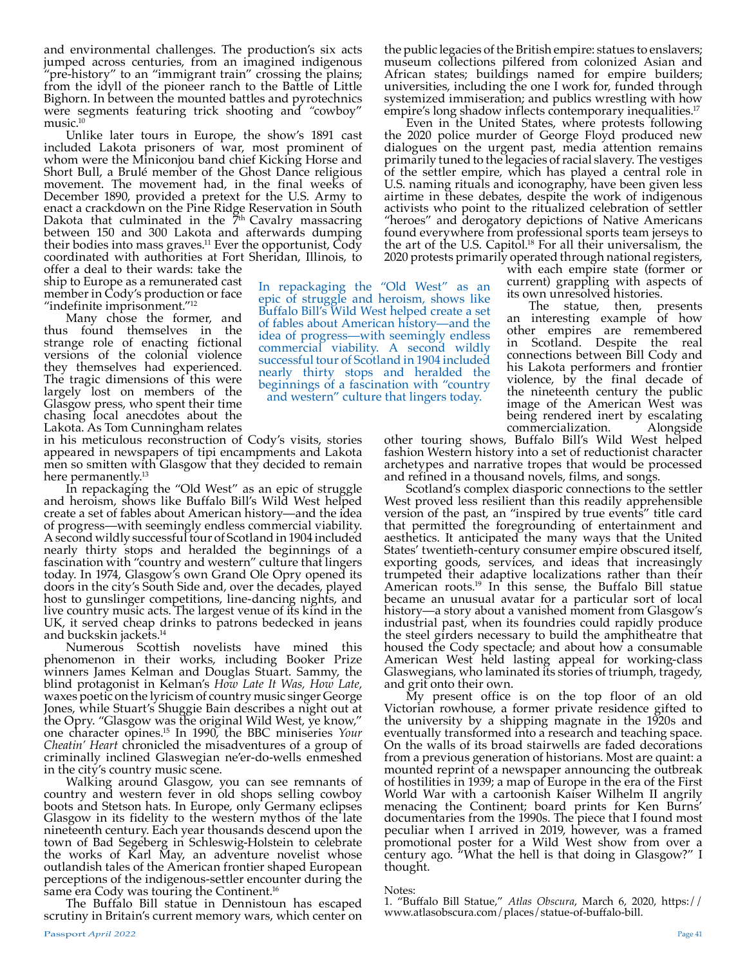and environmental challenges. The production's six acts jumped across centuries, from an imagined indigenous "pre-history" to an "immigrant train" crossing the plains; from the idyll of the pioneer ranch to the Battle of Little Bighorn. In between the mounted battles and pyrotechnics were segments featuring trick shooting and *"*cowboy" music.10

Unlike later tours in Europe, the show's 1891 cast included Lakota prisoners of war, most prominent of whom were the Miniconjou band chief Kicking Horse and Short Bull, a Brulé member of the Ghost Dance religious movement. The movement had, in the final weeks of December 1890, provided a pretext for the U.S. Army to enact a crackdown on the Pine Ridge Reservation in South Dakota that culminated in the  $\frac{9}{10}$  Cavalry massacring between 150 and 300 Lakota and afterwards dumping their bodies into mass graves.<sup>11</sup> Ever the opportunist,  $\tilde{\text{C}}$ ody coordinated with authorities at Fort Sheridan, Illinois, to offer a deal to their wards: take the

ship to Europe as a remunerated cast member in Cody's production or face "indefinite imprisonment."12

Many chose the former, and thus found themselves in the strange role of enacting fictional versions of the colonial violence they themselves had experienced. The tragic dimensions of this were largely lost on members of the Glasgow press, who spent their time chasing local anecdotes about the Lakota. As Tom Cunningham relates

in his meticulous reconstruction of Cody's visits, stories appeared in newspapers of tipi encampments and Lakota men so smitten with Glasgow that they decided to remain here permanently.<sup>13</sup>

In repackaging the "Old West" as an epic of struggle and heroism, shows like Buffalo Bill's Wild West helped create a set of fables about American history—and the idea of progress—with seemingly endless commercial viability. A second wildly successful tour of Scotland in 1904 included nearly thirty stops and heralded the beginnings of a fascination with "country and western" culture that lingers today. In 1974, Glasgow's own Grand Ole Opry opened its doors in the city's South Side and, over the decades, played host to gunslinger competitions, line-dancing nights, and live country music acts. The largest venue of its kind in the UK, it served cheap drinks to patrons bedecked in jeans and buckskin jackets.<sup>14</sup>

Numerous Scottish novelists have mined this phenomenon in their works, including Booker Prize winners James Kelman and Douglas Stuart. Sammy, the blind protagonist in Kelman's *How Late It Was, How Late,*  waxes poetic on the lyricism of country music singer George Jones, while Stuart's Shuggie Bain describes a night out at the Opry. "Glasgow was the original Wild West, ye know," one character opines.15 In 1990, the BBC miniseries *Your Cheatin' Heart* chronicled the misadventures of a group of criminally inclined Glaswegian ne'er-do-wells enmeshed in the city's country music scene.

Walking around Glasgow, you can see remnants of country and western fever in old shops selling cowboy boots and Stetson hats. In Europe, only Germany eclipses Glasgow in its fidelity to the western mythos of the late nineteenth century. Each year thousands descend upon the town of Bad Segeberg in Schleswig-Holstein to celebrate the works of Karl May, an adventure novelist whose outlandish tales of the American frontier shaped European perceptions of the indigenous-settler encounter during the same era Cody was touring the Continent.<sup>16</sup><br>The Buffalo Bill statue in Dennistoun has escaped

scrutiny in Britain's current memory wars, which center on

the public legacies of the British empire: statues to enslavers; museum collections pilfered from colonized Asian and African states; buildings named for empire builders; universities, including the one I work for, funded through systemized immiseration; and publics wrestling with how empire's long shadow inflects contemporary inequalities.17

Even in the United States, where protests following the 2020 police murder of George Floyd produced new dialogues on the urgent past, media attention remains primarily tuned to the legacies of racial slavery. The vestiges of the settler empire, which has played a central role in U.S. naming rituals and iconography, have been given less airtime in these debates, despite the work of indigenous activists who point to the ritualized celebration of settler "heroes" and derogatory depictions of Native Americans found everywhere from professional sports team jerseys to the art of the U.S. Capitol.18 For all their universalism, the 2020 protests primarily operated through national registers,

with each empire state (former or current) grappling with aspects of its own unresolved histories.

The statue, then, presents an interesting example of how other empires are remembered in Scotland. Despite the real connections between Bill Cody and his Lakota performers and frontier violence, by the final decade of the nineteenth century the public image of the American West was being rendered inert by escalating<br>commercialization. Alongside commercialization.

other touring shows, Buffalo Bill's Wild West helped fashion Western history into a set of reductionist character archetypes and narrative tropes that would be processed and refined in a thousand novels, films, and songs.

Scotland's complex diasporic connections to the settler West proved less resilient than this readily apprehensible version of the past, an "inspired by true events" title card that permitted the foregrounding of entertainment and aesthetics. It anticipated the many ways that the United States' twentieth-century consumer empire obscured itself, exporting goods, services, and ideas that increasingly trumpeted their adaptive localizations rather than their American roots.<sup>19</sup> In this sense, the Buffalo Bill statue became an unusual avatar for a particular sort of local history—a story about a vanished moment from Glasgow's industrial past, when its foundries could rapidly produce the steel girders necessary to build the amphitheatre that housed the Cody spectacle; and about how a consumable American West held lasting appeal for working-class Glaswegians, who laminated its stories of triumph, tragedy,

and grit onto their own. My present office is on the top floor of an old Victorian rowhouse, a former private residence gifted to the university by a shipping magnate in the 1920s and eventually transformed into a research and teaching space. On the walls of its broad stairwells are faded decorations from a previous generation of historians. Most are quaint: a mounted reprint of a newspaper announcing the outbreak of hostilities in 1939; a map of Europe in the era of the First World War with a cartoonish Kaiser Wilhelm II angrily menacing the Continent; board prints for Ken Burns' documentaries from the 1990s. The piece that I found most peculiar when I arrived in 2019, however, was a framed promotional poster for a Wild West show from over a century ago. "What the hell is that doing in Glasgow?" I thought.

Notes:

In repackaging the "Old West" as an epic of struggle and heroism, shows like Buffalo Bill's Wild West helped create a set of fables about American history—and the idea of progress—with seemingly endless commercial viability. A second wildly successful tour of Scotland in 1904 included nearly thirty stops and heralded the beginnings of a fascination with "country and western" culture that lingers today.

> 1. "Buffalo Bill Statue," *Atlas Obscura*, March 6, 2020, https:// www.atlasobscura.com/places/statue-of-buffalo-bill.